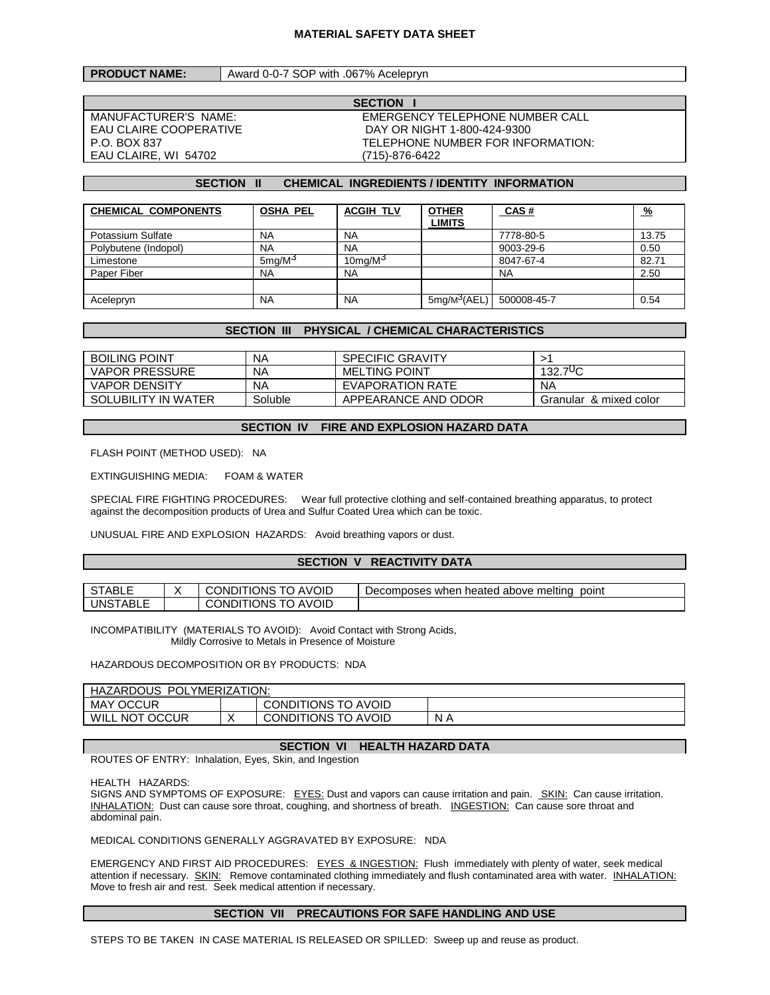#### **MATERIAL SAFETY DATA SHEET**

### **PRODUCT NAME:** | Award 0-0-7 SOP with .067% Acelepryn

EAU CLAIRE, WI 54702 (715)-876-6422

**SECTION** MANUFACTURER'S NAME: EMERGENCY TELEPHONE NUMBER CALL EAU CLAIRE COOPERATIVE DAY OR NIGHT 1-800-424-9300 P.O. BOX 837 TELEPHONE NUMBER FOR INFORMATION:

## **SECTION II CHEMICAL INGREDIENTS / IDENTITY INFORMATION**

| <b>CHEMICAL COMPONENTS</b> | <b>OSHA PEL</b>       | <b>ACGIH TLV</b> | <b>OTHER</b><br>LIMITS   | CAS#        | <u>%</u> |
|----------------------------|-----------------------|------------------|--------------------------|-------------|----------|
| Potassium Sulfate          | <b>NA</b>             | <b>NA</b>        |                          | 7778-80-5   | 13.75    |
| Polybutene (Indopol)       | <b>NA</b>             | <b>NA</b>        |                          | 9003-29-6   | 0.50     |
| Limestone                  | $5$ ma/M <sup>3</sup> | 10 $ma/M3$       |                          | 8047-67-4   | 82.71    |
| Paper Fiber                | <b>NA</b>             | <b>NA</b>        |                          | <b>NA</b>   | 2.50     |
|                            |                       |                  |                          |             |          |
| Acelepryn                  | <b>NA</b>             | <b>NA</b>        | 5mg/M <sup>3</sup> (AEL) | 500008-45-7 | 0.54     |

## **SECTION III PHYSICAL / CHEMICAL CHARACTERISTICS**

| <b>BOILING POINT</b>  | ΝA      | <b>SPECIFIC GRAVITY</b> |                        |
|-----------------------|---------|-------------------------|------------------------|
| <b>VAPOR PRESSURE</b> | ΝA      | <b>MELTING POINT</b>    | $132.7\,{\circ}C$      |
| VAPOR DENSITY         | ΝA      | <b>EVAPORATION RATE</b> | NA                     |
| SOLUBILITY IN WATER   | Soluble | APPEARANCE AND ODOR     | Granular & mixed color |

#### **SECTION IV FIRE AND EXPLOSION HAZARD DATA**

FLASH POINT (METHOD USED): NA

EXTINGUISHING MEDIA: FOAM & WATER

SPECIAL FIRE FIGHTING PROCEDURES: Wear full protective clothing and self-contained breathing apparatus, to protect against the decomposition products of Urea and Sulfur Coated Urea which can be toxic.

UNUSUAL FIRE AND EXPLOSION HAZARDS: Avoid breathing vapors or dust.

#### **SECTION V REACTIVITY DATA**

| STABLL                                  | <b>AVOID</b><br>CONDITIONS      | i heated above melting<br>point<br>Decomposes when |
|-----------------------------------------|---------------------------------|----------------------------------------------------|
| UNS <sub>1</sub><br>` <sup>⊤</sup> ABL∟ | <b>AVOID</b><br>CONDITIONS<br>. |                                                    |

INCOMPATIBILITY (MATERIALS TO AVOID): Avoid Contact with Strong Acids, Mildly Corrosive to Metals in Presence of Moisture

HAZARDOUS DECOMPOSITION OR BY PRODUCTS: NDA

| POLYMERIZATION:<br>HAZARDOUS |  |                            |     |  |  |
|------------------------------|--|----------------------------|-----|--|--|
| <b>MAY OCCUR</b>             |  | <b>CONDITIONS TO AVOID</b> |     |  |  |
| WILL NOT OCCUR               |  | <b>CONDITIONS TO AVOID</b> | N A |  |  |

# **SECTION VI HEALTH HAZARD DATA**

ROUTES OF ENTRY: Inhalation, Eyes, Skin, and Ingestion

HEALTH HAZARDS:

SIGNS AND SYMPTOMS OF EXPOSURE: EYES: Dust and vapors can cause irritation and pain. SKIN: Can cause irritation. INHALATION: Dust can cause sore throat, coughing, and shortness of breath. INGESTION: Can cause sore throat and abdominal pain.

MEDICAL CONDITIONS GENERALLY AGGRAVATED BY EXPOSURE: NDA

EMERGENCY AND FIRST AID PROCEDURES: EYES & INGESTION: Flush immediately with plenty of water, seek medical attention if necessary. SKIN: Remove contaminated clothing immediately and flush contaminated area with water. INHALATION: Move to fresh air and rest. Seek medical attention if necessary.

## **SECTION VII PRECAUTIONS FOR SAFE HANDLING AND USE**

STEPS TO BE TAKEN IN CASE MATERIAL IS RELEASED OR SPILLED: Sweep up and reuse as product.